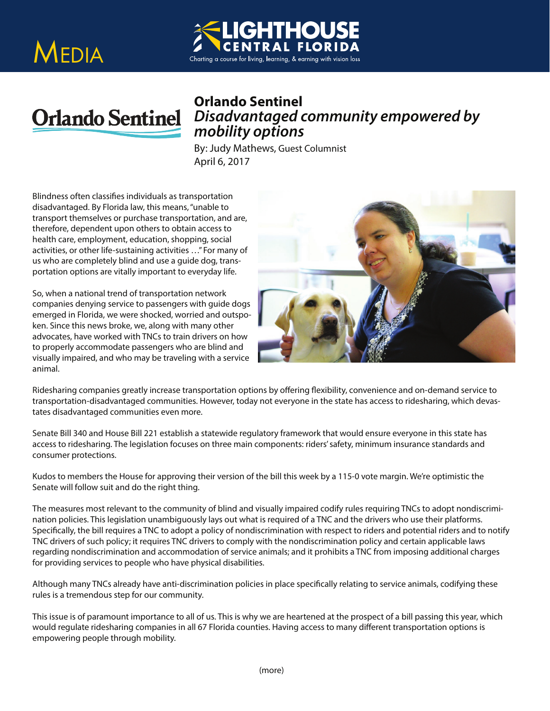





## *Disadvantaged community empowered by mobility options*

**By: Judy Mathews, Guest Columnist** April 6, 2017

Blindness often classifies individuals as transportation disadvantaged. By Florida law, this means, "unable to transport themselves or purchase transportation, and are, therefore, dependent upon others to obtain access to health care, employment, education, shopping, social activities, or other life-sustaining activities …" For many of us who are completely blind and use a guide dog, transportation options are vitally important to everyday life.

So, when a national trend of transportation network companies denying service to passengers with guide dogs emerged in Florida, we were shocked, worried and outspoken. Since this news broke, we, along with many other advocates, have worked with TNCs to train drivers on how to properly accommodate passengers who are blind and visually impaired, and who may be traveling with a service animal.



Ridesharing companies greatly increase transportation options by offering flexibility, convenience and on-demand service to transportation-disadvantaged communities. However, today not everyone in the state has access to ridesharing, which devastates disadvantaged communities even more.

Senate Bill 340 and House Bill 221 establish a statewide regulatory framework that would ensure everyone in this state has access to ridesharing. The legislation focuses on three main components: riders' safety, minimum insurance standards and consumer protections.

Kudos to members the House for approving their version of the bill this week by a 115-0 vote margin. We're optimistic the Senate will follow suit and do the right thing.

The measures most relevant to the community of blind and visually impaired codify rules requiring TNCs to adopt nondiscrimination policies. This legislation unambiguously lays out what is required of a TNC and the drivers who use their platforms. Specifically, the bill requires a TNC to adopt a policy of nondiscrimination with respect to riders and potential riders and to notify TNC drivers of such policy; it requires TNC drivers to comply with the nondiscrimination policy and certain applicable laws regarding nondiscrimination and accommodation of service animals; and it prohibits a TNC from imposing additional charges for providing services to people who have physical disabilities.

Although many TNCs already have anti-discrimination policies in place specifically relating to service animals, codifying these rules is a tremendous step for our community.

This issue is of paramount importance to all of us. This is why we are heartened at the prospect of a bill passing this year, which would regulate ridesharing companies in all 67 Florida counties. Having access to many different transportation options is empowering people through mobility.